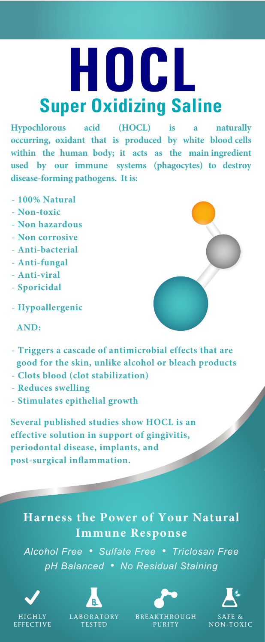# **HOCL Super Oxidizing Saline**

**Hypochlorous acid (HOCL) is a naturally occurring, oxidant that is produced by white blood cells within the human body; it acts as the main ingredient used by our immune systems (phagocytes) to destroy disease-forming pathogens. It is:**

- **100% Natural**
- **Non-toxic**
- **Non hazardous**
- **Non corrosive**
- **Anti-bacterial**
- **Anti-fungal**
- **Anti-viral**
- **Sporicidal**
- **Hypoallergenic**

**AND:**

- **Triggers a cascade of antimicrobial effects that are good for the skin, unlike alcohol or bleach products**
- **Clots blood (clot stabilization)**
- **Reduces swelling**
- **Stimulates epithelial growth**

**Several published studies show HOCL is an effective solution in support of gingivitis, periodontal disease, implants, and post-surgical inflammation.**

### **Harness the Power of Your Natural Immune Response**

*Alcohol Free • Sulfate Free • Triclosan Free pH Balanced • No Residual Staining*





TESTED



BREAKTHROUGH PURITY